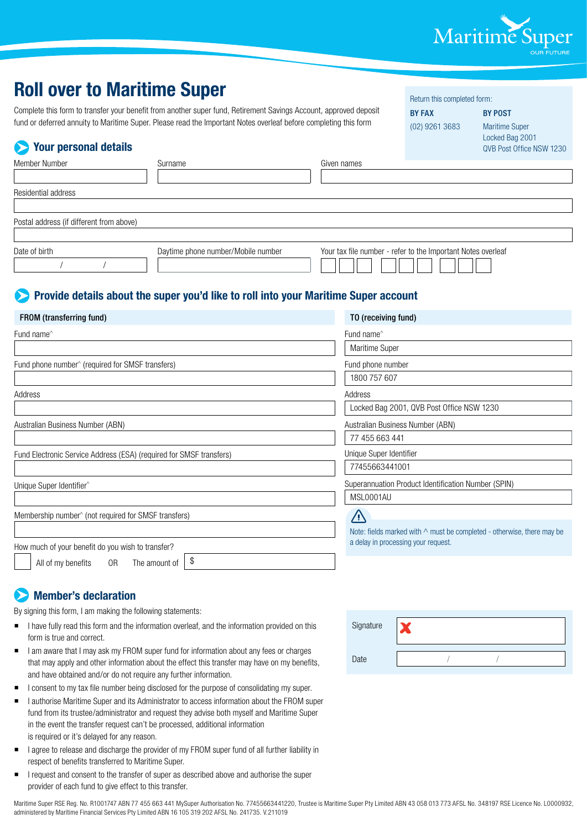

Return this completed form: BY FAX BY POST

## **Roll over to Maritime Super**

Complete this form to transfer your benefit from another super fund, Retirement Savings Account, approved deposit fund or deferred annuity to Maritime Super. Please read the Important Notes overleaf before completing this form

| <b>Your personal details</b><br>$\blacktriangleright$               | fund or deferred annuity to Maritime Super. Please read the Important Notes overleaf before completing this form |                                                     | (02) 9261 3683                                               | <b>Maritime Super</b><br>Locked Bag 2001<br>QVB Post Office NSW 1230          |  |
|---------------------------------------------------------------------|------------------------------------------------------------------------------------------------------------------|-----------------------------------------------------|--------------------------------------------------------------|-------------------------------------------------------------------------------|--|
| Member Number                                                       | Surname                                                                                                          | Given names                                         |                                                              |                                                                               |  |
| Residential address                                                 |                                                                                                                  |                                                     |                                                              |                                                                               |  |
|                                                                     |                                                                                                                  |                                                     |                                                              |                                                                               |  |
| Postal address (if different from above)                            |                                                                                                                  |                                                     |                                                              |                                                                               |  |
| Date of birth                                                       | Daytime phone number/Mobile number                                                                               |                                                     | Your tax file number - refer to the Important Notes overleaf |                                                                               |  |
|                                                                     | <b>Example: Provide details about the super you'd like to roll into your Maritime Super account</b>              |                                                     |                                                              |                                                                               |  |
| FROM (transferring fund)                                            |                                                                                                                  | TO (receiving fund)                                 |                                                              |                                                                               |  |
| Fund name <sup>^</sup>                                              |                                                                                                                  | Fund name <sup><math>\land</math></sup>             |                                                              |                                                                               |  |
|                                                                     |                                                                                                                  | Maritime Super                                      |                                                              |                                                                               |  |
| Fund phone number <sup>^</sup> (required for SMSF transfers)        |                                                                                                                  | Fund phone number                                   |                                                              |                                                                               |  |
|                                                                     |                                                                                                                  | 1800 757 607                                        |                                                              |                                                                               |  |
| Address                                                             | Address                                                                                                          |                                                     |                                                              |                                                                               |  |
|                                                                     |                                                                                                                  |                                                     | Locked Bag 2001, QVB Post Office NSW 1230                    |                                                                               |  |
| Australian Business Number (ABN)                                    |                                                                                                                  | Australian Business Number (ABN)                    |                                                              |                                                                               |  |
|                                                                     |                                                                                                                  | 77 455 663 441                                      |                                                              |                                                                               |  |
| Fund Electronic Service Address (ESA) (required for SMSF transfers) |                                                                                                                  | Unique Super Identifier                             |                                                              |                                                                               |  |
|                                                                     |                                                                                                                  | 77455663441001                                      |                                                              |                                                                               |  |
| Unique Super Identifier^                                            |                                                                                                                  | Superannuation Product Identification Number (SPIN) |                                                              |                                                                               |  |
|                                                                     |                                                                                                                  | MSL0001AU                                           |                                                              |                                                                               |  |
| Membership number <sup>^</sup> (not required for SMSF transfers)    |                                                                                                                  | /i/                                                 |                                                              |                                                                               |  |
|                                                                     |                                                                                                                  |                                                     |                                                              | Note: fields marked with $\wedge$ must be completed - otherwise, there may be |  |
| How much of your benefit do you wish to transfer?                   |                                                                                                                  |                                                     | a delay in processing your request.                          |                                                                               |  |
| 0R<br>All of my benefits                                            | \$<br>The amount of                                                                                              |                                                     |                                                              |                                                                               |  |

### **Member's declaration**

By signing this form, I am making the following statements:

- I have fully read this form and the information overleaf, and the information provided on this form is true and correct.
- I am aware that I may ask my FROM super fund for information about any fees or charges that may apply and other information about the effect this transfer may have on my benefits, and have obtained and/or do not require any further information.
- I consent to my tax file number being disclosed for the purpose of consolidating my super.
- I authorise Maritime Super and its Administrator to access information about the FROM super fund from its trustee/administrator and request they advise both myself and Maritime Super in the event the transfer request can't be processed, additional information is required or it's delayed for any reason.
- I agree to release and discharge the provider of my FROM super fund of all further liability in respect of benefits transferred to Maritime Super.
- **I** request and consent to the transfer of super as described above and authorise the super provider of each fund to give effect to this transfer.

| Signature |  |  |
|-----------|--|--|
| Date      |  |  |

Maritime Super RSE Reg. No. R1001747 ABN 77 455 663 441 MySuper Authorisation No. 77455663441220, Trustee is Maritime Super Pty Limited ABN 43 058 013 773 AFSL No. 348197 RSE Licence No. L0000932, administered by Maritime Financial Services Pty Limited ABN 16 105 319 202 AFSL No. 241735. V.211019